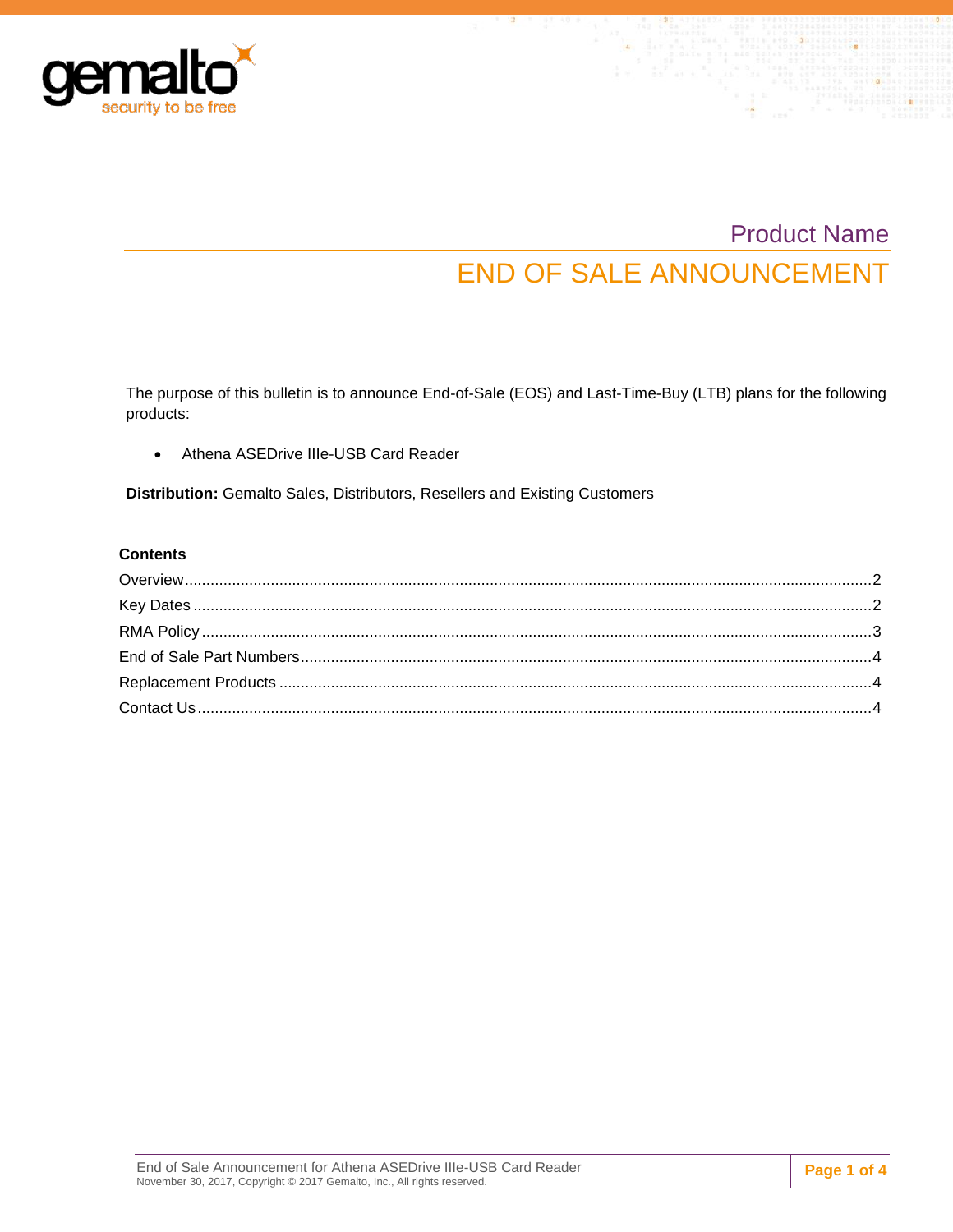

# Product Name END OF SALE ANNOUNCEMENT

The purpose of this bulletin is to announce End-of-Sale (EOS) and Last-Time-Buy (LTB) plans for the following products:

Athena ASEDrive IIIe-USB Card Reader

**Distribution:** Gemalto Sales, Distributors, Resellers and Existing Customers

#### **Contents**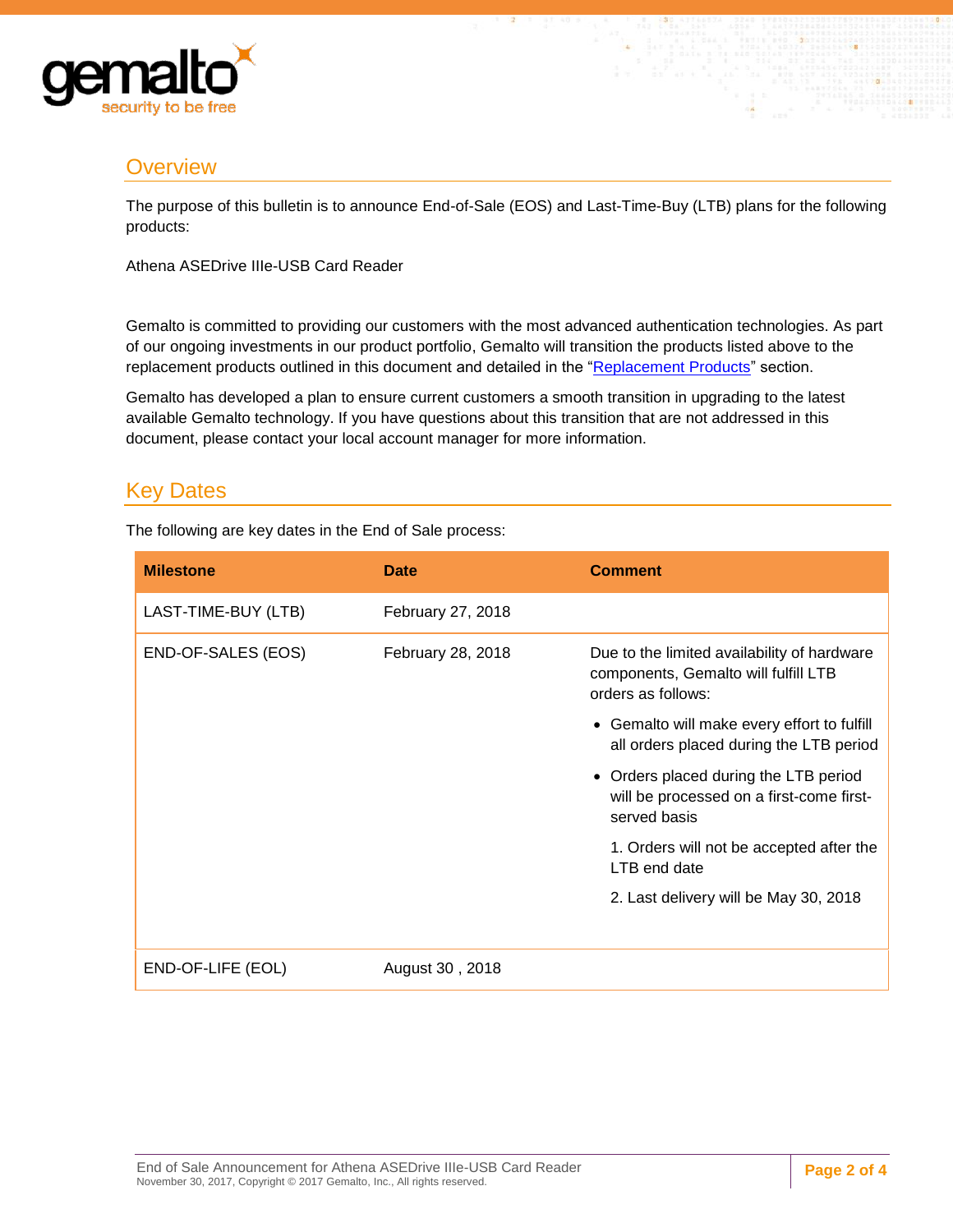

# <span id="page-1-0"></span>**Overview**

The purpose of this bulletin is to announce End-of-Sale (EOS) and Last-Time-Buy (LTB) plans for the following products:

Athena ASEDrive IIIe-USB Card Reader

Gemalto is committed to providing our customers with the most advanced authentication technologies. As part of our ongoing investments in our product portfolio, Gemalto will transition the products listed above to the replacement products outlined in this document and detailed in the ["Replacement Products"](#page-3-1) section.

Gemalto has developed a plan to ensure current customers a smooth transition in upgrading to the latest available Gemalto technology. If you have questions about this transition that are not addressed in this document, please contact your local account manager for more information.

# <span id="page-1-1"></span>Key Dates

The following are key dates in the End of Sale process:

| <b>Milestone</b>    | <b>Date</b>       | <b>Comment</b>                                                                                            |
|---------------------|-------------------|-----------------------------------------------------------------------------------------------------------|
| LAST-TIME-BUY (LTB) | February 27, 2018 |                                                                                                           |
| END-OF-SALES (EOS)  | February 28, 2018 | Due to the limited availability of hardware<br>components, Gemalto will fulfill LTB<br>orders as follows: |
|                     |                   | • Gemalto will make every effort to fulfill<br>all orders placed during the LTB period                    |
|                     |                   | • Orders placed during the LTB period<br>will be processed on a first-come first-<br>served basis         |
|                     |                   | 1. Orders will not be accepted after the<br>LTB end date                                                  |
|                     |                   | 2. Last delivery will be May 30, 2018                                                                     |
| END-OF-LIFE (EOL)   | August 30, 2018   |                                                                                                           |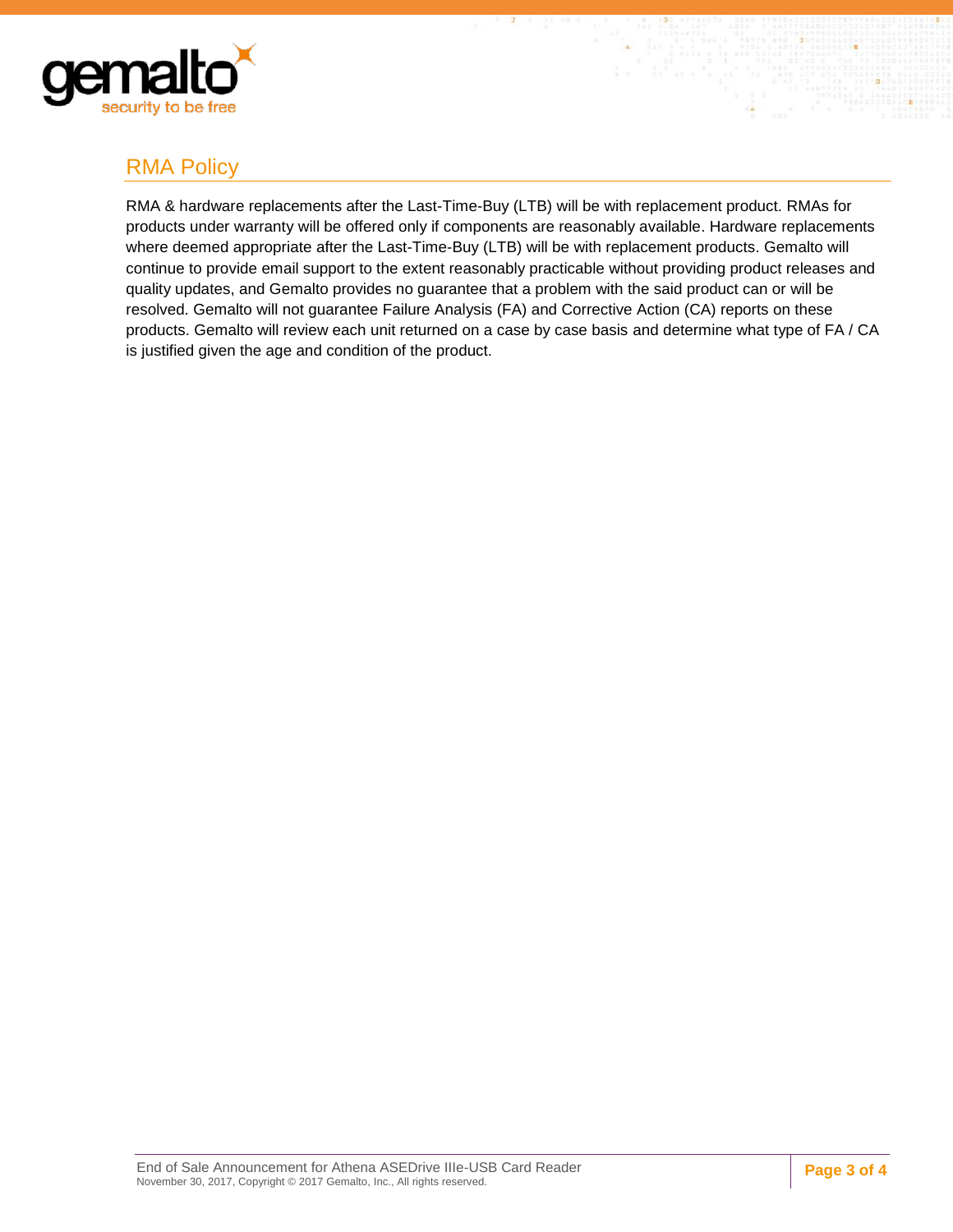

# <span id="page-2-0"></span>RMA Policy

RMA & hardware replacements after the Last-Time-Buy (LTB) will be with replacement product. RMAs for products under warranty will be offered only if components are reasonably available. Hardware replacements where deemed appropriate after the Last-Time-Buy (LTB) will be with replacement products. Gemalto will continue to provide email support to the extent reasonably practicable without providing product releases and quality updates, and Gemalto provides no guarantee that a problem with the said product can or will be resolved. Gemalto will not guarantee Failure Analysis (FA) and Corrective Action (CA) reports on these products. Gemalto will review each unit returned on a case by case basis and determine what type of FA / CA is justified given the age and condition of the product.